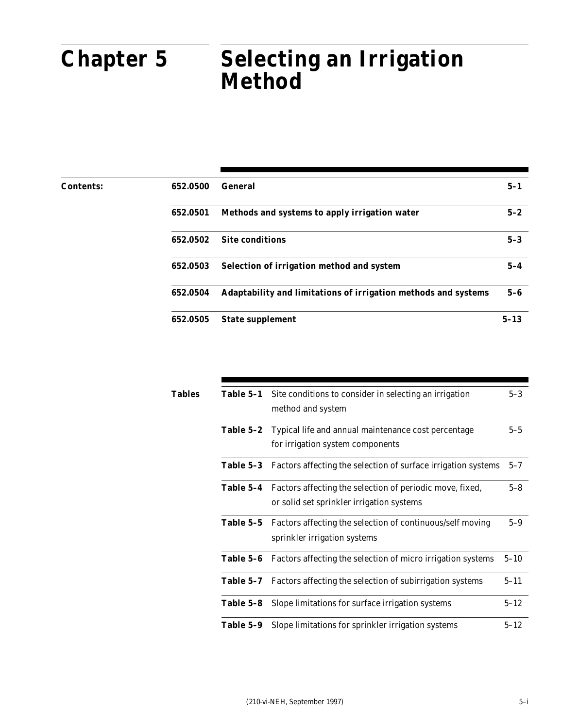### Part 652 Irrigation Guide **Chapter 5** Selecting an Irrigation **Method**

| 652.0500 | <b>General</b>                                                 | $5 - 1$  |
|----------|----------------------------------------------------------------|----------|
| 652.0501 | Methods and systems to apply irrigation water                  | $5 - 2$  |
| 652.0502 | <b>Site conditions</b>                                         | $5 - 3$  |
| 652.0503 | Selection of irrigation method and system                      | $5 - 4$  |
| 652.0504 | Adaptability and limitations of irrigation methods and systems | $5-6$    |
| 652.0505 | <b>State supplement</b>                                        | $5 - 13$ |
|          |                                                                |          |

| Tables | Table 5–1 | Site conditions to consider in selecting an irrigation<br>method and system                                     | $5-3$    |
|--------|-----------|-----------------------------------------------------------------------------------------------------------------|----------|
|        | Table 5–2 | Typical life and annual maintenance cost percentage<br>for irrigation system components                         | $5-5$    |
|        | Table 5-3 | Factors affecting the selection of surface irrigation systems                                                   | $5 - 7$  |
|        |           | Table 5-4 Factors affecting the selection of periodic move, fixed,<br>or solid set sprinkler irrigation systems | $5 - 8$  |
|        | Table 5-5 | Factors affecting the selection of continuous/self moving<br>sprinkler irrigation systems                       | $5-9$    |
|        |           | Table 5-6 Factors affecting the selection of micro irrigation systems                                           | $5 - 10$ |
|        | Table 5-7 | Factors affecting the selection of subirrigation systems                                                        | $5 - 11$ |
|        | Table 5–8 | Slope limitations for surface irrigation systems                                                                | $5 - 12$ |
|        | Table 5-9 | Slope limitations for sprinkler irrigation systems                                                              | $5 - 12$ |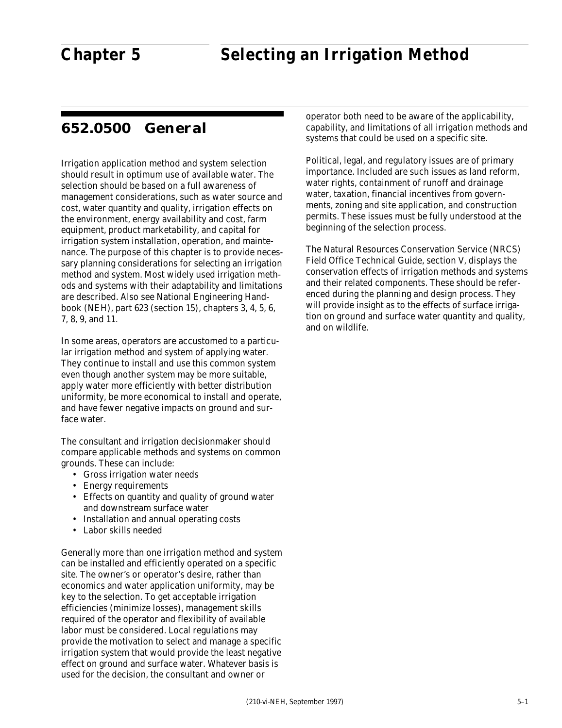### **652.0500 General**

Irrigation application method and system selection should result in optimum use of available water. The selection should be based on a full awareness of management considerations, such as water source and cost, water quantity and quality, irrigation effects on the environment, energy availability and cost, farm equipment, product marketability, and capital for irrigation system installation, operation, and maintenance. The purpose of this chapter is to provide necessary planning considerations for selecting an irrigation method and system. Most widely used irrigation methods and systems with their adaptability and limitations are described. Also see National Engineering Handbook (NEH), part 623 (section 15), chapters 3, 4, 5, 6, 7, 8, 9, and 11.

In some areas, operators are accustomed to a particular irrigation method and system of applying water. They continue to install and use this common system even though another system may be more suitable, apply water more efficiently with better distribution uniformity, be more economical to install and operate, and have fewer negative impacts on ground and surface water.

The consultant and irrigation decisionmaker should compare applicable methods and systems on common grounds. These can include:

- Gross irrigation water needs
- Energy requirements
- Effects on quantity and quality of ground water and downstream surface water
- Installation and annual operating costs
- Labor skills needed

Generally more than one irrigation method and system can be installed and efficiently operated on a specific site. The owner's or operator's desire, rather than economics and water application uniformity, may be key to the selection. To get acceptable irrigation efficiencies (minimize losses), management skills required of the operator and flexibility of available labor must be considered. Local regulations may provide the motivation to select and manage a specific irrigation system that would provide the least negative effect on ground and surface water. Whatever basis is used for the decision, the consultant and owner or

operator both need to be aware of the applicability, capability, and limitations of all irrigation methods and systems that could be used on a specific site.

Political, legal, and regulatory issues are of primary importance. Included are such issues as land reform, water rights, containment of runoff and drainage water, taxation, financial incentives from governments, zoning and site application, and construction permits. These issues must be fully understood at the beginning of the selection process.

The Natural Resources Conservation Service (NRCS) Field Office Technical Guide, section V, displays the conservation effects of irrigation methods and systems and their related components. These should be referenced during the planning and design process. They will provide insight as to the effects of surface irrigation on ground and surface water quantity and quality, and on wildlife.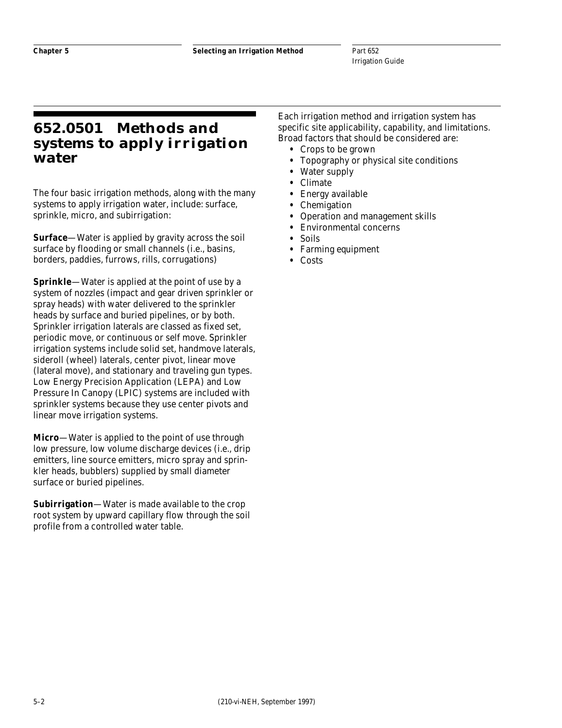### **652.0501 Methods and systems to apply irrigation water**

The four basic irrigation methods, along with the many systems to apply irrigation water, include: surface, sprinkle, micro, and subirrigation:

**Surface**—Water is applied by gravity across the soil surface by flooding or small channels (i.e., basins, borders, paddies, furrows, rills, corrugations)

**Sprinkle**—Water is applied at the point of use by a system of nozzles (impact and gear driven sprinkler or spray heads) with water delivered to the sprinkler heads by surface and buried pipelines, or by both. Sprinkler irrigation laterals are classed as fixed set, periodic move, or continuous or self move. Sprinkler irrigation systems include solid set, handmove laterals, sideroll (wheel) laterals, center pivot, linear move (lateral move), and stationary and traveling gun types. Low Energy Precision Application (LEPA) and Low Pressure In Canopy (LPIC) systems are included with sprinkler systems because they use center pivots and linear move irrigation systems.

**Micro**—Water is applied to the point of use through low pressure, low volume discharge devices (i.e., drip emitters, line source emitters, micro spray and sprinkler heads, bubblers) supplied by small diameter surface or buried pipelines.

**Subirrigation**—Water is made available to the crop root system by upward capillary flow through the soil profile from a controlled water table.

Each irrigation method and irrigation system has specific site applicability, capability, and limitations. Broad factors that should be considered are:

- **•** Crops to be grown
- **•** Topography or physical site conditions
- **•** Water supply
- **•** Climate
- **•** Energy available
- **•** Chemigation
- **•** Operation and management skills
- **•** Environmental concerns
- **•** Soils
- **•** Farming equipment
- **•** Costs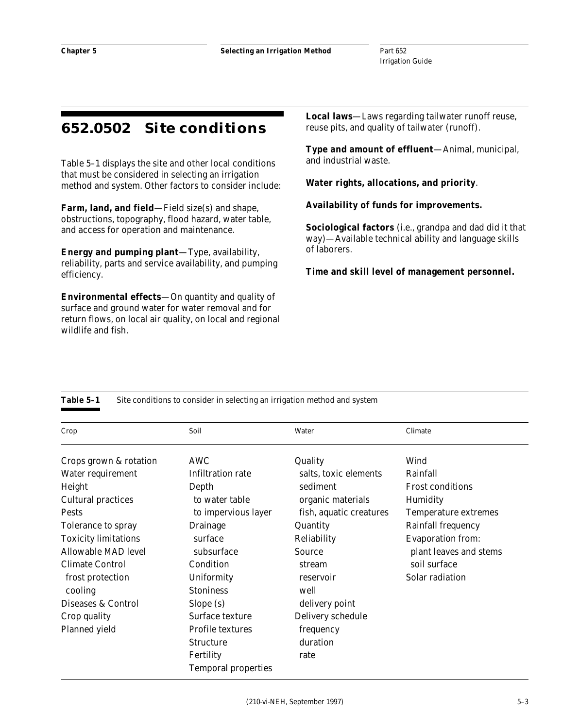### **652.0502 Site conditions**

Table 5–1 displays the site and other local conditions that must be considered in selecting an irrigation method and system. Other factors to consider include:

**Farm, land, and field**—Field size(s) and shape, obstructions, topography, flood hazard, water table, and access for operation and maintenance.

**Energy and pumping plant**—Type, availability, reliability, parts and service availability, and pumping efficiency.

**Environmental effects**—On quantity and quality of surface and ground water for water removal and for return flows, on local air quality, on local and regional wildlife and fish.

**Local laws**—Laws regarding tailwater runoff reuse, reuse pits, and quality of tailwater (runoff).

**Type and amount of effluent**—Animal, municipal, and industrial waste.

**Water rights, allocations, and priority**.

**Availability of funds for improvements.**

**Sociological factors** (i.e., grandpa and dad did it that way)—Available technical ability and language skills of laborers.

**Time and skill level of management personnel.**

| Crop                        | Soil                       | Water                   | Climate                     |
|-----------------------------|----------------------------|-------------------------|-----------------------------|
| Crops grown & rotation      | AWC                        | Quality                 | Wind                        |
| Water requirement           | Infiltration rate          | salts, toxic elements   | Rainfall                    |
| Height                      | Depth                      | sediment                | <b>Frost conditions</b>     |
| <b>Cultural practices</b>   | to water table             | organic materials       | Humidity                    |
| <b>Pests</b>                | to impervious layer        | fish, aquatic creatures | <b>Temperature extremes</b> |
| Tolerance to spray          | Drainage                   | Quantity                | <b>Rainfall frequency</b>   |
| <b>Toxicity limitations</b> | surface                    | Reliability             | <b>Evaporation from:</b>    |
| Allowable MAD level         | subsurface                 | Source                  | plant leaves and stems      |
| <b>Climate Control</b>      | Condition                  | stream                  | soil surface                |
| frost protection            | Uniformity                 | reservoir               | Solar radiation             |
| cooling                     | <b>Stoniness</b>           | well                    |                             |
| Diseases & Control          | Slope (s)                  | delivery point          |                             |
| Crop quality                | Surface texture            | Delivery schedule       |                             |
| Planned yield               | <b>Profile textures</b>    | frequency               |                             |
|                             | <b>Structure</b>           | duration                |                             |
|                             | Fertility                  | rate                    |                             |
|                             | <b>Temporal properties</b> |                         |                             |

**Table 5–1** Site conditions to consider in selecting an irrigation method and system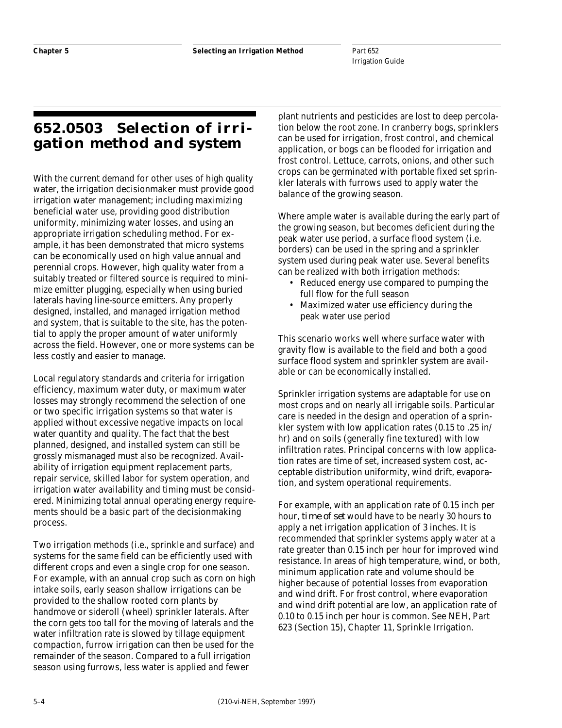## **652.0503 Selection of irrigation method and system**

With the current demand for other uses of high quality water, the irrigation decisionmaker must provide good irrigation water management; including maximizing beneficial water use, providing good distribution uniformity, minimizing water losses, and using an appropriate irrigation scheduling method. For example, it has been demonstrated that micro systems can be economically used on high value annual and perennial crops. However, high quality water from a suitably treated or filtered source is required to minimize emitter plugging, especially when using buried laterals having line-source emitters. Any properly designed, installed, and managed irrigation method and system, that is suitable to the site, has the potential to apply the proper amount of water uniformly across the field. However, one or more systems can be less costly and easier to manage.

Local regulatory standards and criteria for irrigation efficiency, maximum water duty, or maximum water losses may strongly recommend the selection of one or two specific irrigation systems so that water is applied without excessive negative impacts on local water quantity and quality. The fact that the best planned, designed, and installed system can still be grossly mismanaged must also be recognized. Availability of irrigation equipment replacement parts, repair service, skilled labor for system operation, and irrigation water availability and timing must be considered. Minimizing total annual operating energy requirements should be a basic part of the decisionmaking process.

Two irrigation methods (i.e., sprinkle and surface) and systems for the same field can be efficiently used with different crops and even a single crop for one season. For example, with an annual crop such as corn on high intake soils, early season shallow irrigations can be provided to the shallow rooted corn plants by handmove or sideroll (wheel) sprinkler laterals. After the corn gets too tall for the moving of laterals and the water infiltration rate is slowed by tillage equipment compaction, furrow irrigation can then be used for the remainder of the season. Compared to a full irrigation season using furrows, less water is applied and fewer

plant nutrients and pesticides are lost to deep percolation below the root zone. In cranberry bogs, sprinklers can be used for irrigation, frost control, and chemical application, or bogs can be flooded for irrigation and frost control. Lettuce, carrots, onions, and other such crops can be germinated with portable fixed set sprinkler laterals with furrows used to apply water the balance of the growing season.

Where ample water is available during the early part of the growing season, but becomes deficient during the peak water use period, a surface flood system (i.e. borders) can be used in the spring and a sprinkler system used during peak water use. Several benefits can be realized with both irrigation methods:

- Reduced energy use compared to pumping the full flow for the full season
- Maximized water use efficiency during the peak water use period

This scenario works well where surface water with gravity flow is available to the field and both a good surface flood system and sprinkler system are available or can be economically installed.

Sprinkler irrigation systems are adaptable for use on most crops and on nearly all irrigable soils. Particular care is needed in the design and operation of a sprinkler system with low application rates (0.15 to .25 in/ hr) and on soils (generally fine textured) with low infiltration rates. Principal concerns with low application rates are time of set, increased system cost, acceptable distribution uniformity, wind drift, evaporation, and system operational requirements.

For example, with an application rate of 0.15 inch per hour, *time of set* would have to be nearly 30 hours to apply a net irrigation application of 3 inches. It is recommended that sprinkler systems apply water at a rate greater than 0.15 inch per hour for improved wind resistance. In areas of high temperature, wind, or both, minimum application rate and volume should be higher because of potential losses from evaporation and wind drift. For frost control, where evaporation and wind drift potential are low, an application rate of 0.10 to 0.15 inch per hour is common. See NEH, Part 623 (Section 15), Chapter 11, Sprinkle Irrigation.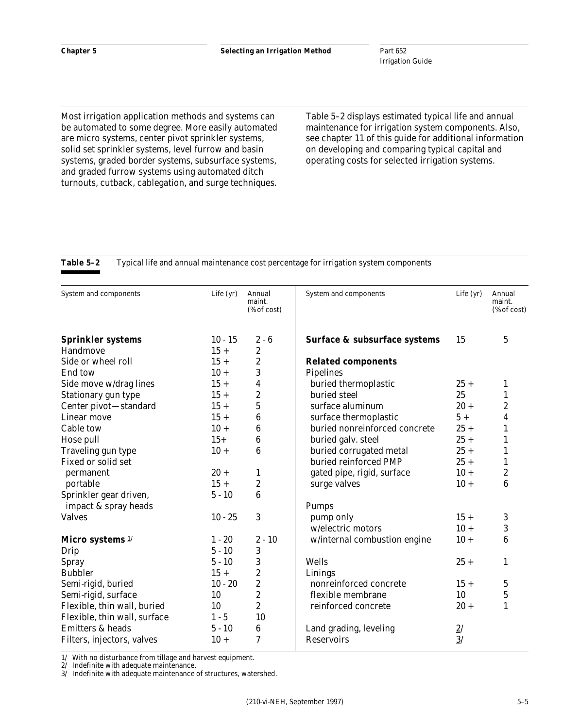Most irrigation application methods and systems can be automated to some degree. More easily automated are micro systems, center pivot sprinkler systems, solid set sprinkler systems, level furrow and basin systems, graded border systems, subsurface systems, and graded furrow systems using automated ditch turnouts, cutback, cablegation, and surge techniques.

Table 5–2 displays estimated typical life and annual maintenance for irrigation system components. Also, see chapter 11 of this guide for additional information on developing and comparing typical capital and operating costs for selected irrigation systems.

### System and components Life (yr) Annual System and components Life (yr) Annual maint maint. maint.  $% of cost$  (% of cost) **Sprinkler systems** 10 - 15 2 - 6 **Surface & subsurface systems** 15 5 Handmove  $15 + 2$ Side or wheel roll 15 + 2 **Related components** End tow  $10 + 3$  Pipelines Side move w/drag lines  $15 + 4$  buried thermoplastic  $25 + 1$ <br>Stationary gun type  $15 + 2$  buried steel  $25 - 1$ Stationary gun type  $15 + 2$  buried steel  $25$  1 Center pivot—standard  $15 + 5$  surface aluminum  $20 + 2$ Linear move  $15 + 6$  surface thermoplastic  $5 + 4$ Cable tow  $10 + 6$  buried nonreinforced concrete  $25 + 1$ Hose pull  $\begin{array}{ccc} 15+ & 6 \ 10+ & 6 \end{array}$  buried galv. steel  $\begin{array}{ccc} 25+ & 1 \ 25+ & 1 \end{array}$ Traveling gun type  $10 + 6$  buried corrugated metal  $25 + 1$ Fixed or solid set buried reinforced PMP 25 + 1 permanent 20 + 1 gated pipe, rigid, surface  $10 + 2$ portable  $15 + 2$  surge valves  $10 + 6$ Sprinkler gear driven, 5 - 10 6 impact & spray heads Pumps Valves  $10 - 25$  3 pump only  $15 + 3$ w/electric motors  $10 + 3$ **Micro systems**  $\frac{1}{2}$  1 - 20 2 - 10 w/internal combustion engine 10 + 6 Drip 5 - 10 3  $Spray$  5 - 10 3 Wells 25 + 1 Bubbler 15 + 2 Linings Semi-rigid, buried 10 - 20 2 nonreinforced concrete 15 + 5 Semi-rigid, surface  $\begin{array}{ccc} 10 & 2 & \text{flexible membrane} & 10 & 5 \end{array}$ Flexible, thin wall, buried  $10 \t 2 \t |$  reinforced concrete  $20 + 1$ Flexible, thin wall, surface  $1 - 5$  10 Emitters & heads  $5 - 10$  6 Land grading, leveling  $2/$ Filters, injectors, valves 10 + 7 Reservoirs 3/

#### **Table 5–2** Typical life and annual maintenance cost percentage for irrigation system components

1/ With no disturbance from tillage and harvest equipment.

2/ Indefinite with adequate maintenance.<br> $3/$  Indefinite with adequate maintenance

Indefinite with adequate maintenance of structures, watershed.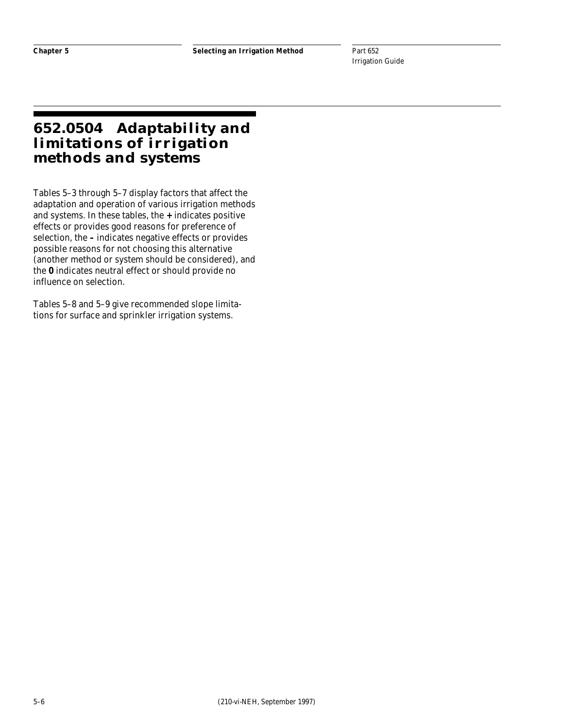### **652.0504 Adaptability and limitations of irrigation methods and systems**

Tables 5–3 through 5–7 display factors that affect the adaptation and operation of various irrigation methods and systems. In these tables, the **+** indicates positive effects or provides good reasons for preference of selection, the **–** indicates negative effects or provides possible reasons for not choosing this alternative (another method or system should be considered), and the **0** indicates neutral effect or should provide no influence on selection.

Tables 5–8 and 5–9 give recommended slope limitations for surface and sprinkler irrigation systems.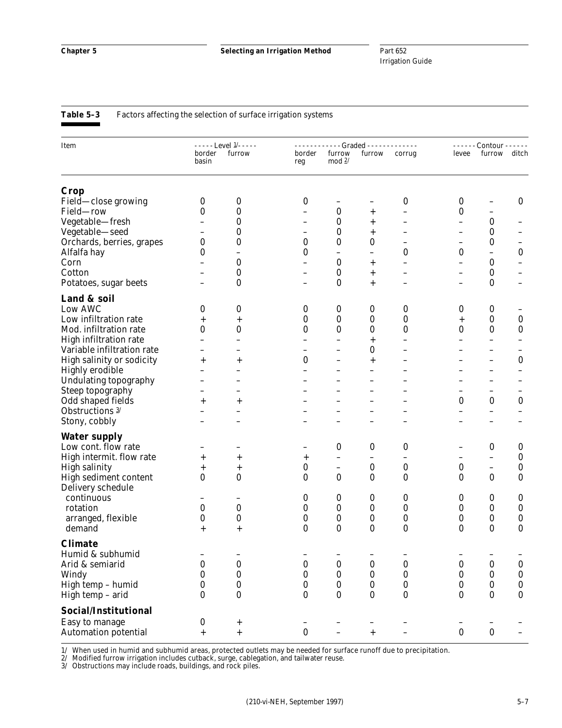| Item                        | $---$ Level $1/---$              |           | - - - - - - - - - - - - Graded - - - - - - - - - - - - - | - - - - - - Contour - - - - - - |                          |                          |                          |                          |                          |
|-----------------------------|----------------------------------|-----------|----------------------------------------------------------|---------------------------------|--------------------------|--------------------------|--------------------------|--------------------------|--------------------------|
|                             | border<br>basin                  | furrow    | border<br>reg                                            | furrow<br>mod $2/$              | furrow                   | corrug                   | levee                    | furrow                   | ditch                    |
| Crop                        |                                  |           |                                                          |                                 |                          |                          |                          |                          |                          |
| Field—close growing         | 0                                | 0         | $\boldsymbol{0}$                                         |                                 |                          | 0                        | 0                        |                          | $\bf{0}$                 |
| Field-row                   | 0                                | 0         | $\overline{\phantom{0}}$                                 | 0                               | $\,{}^+$                 | -                        | 0                        | $\overline{\phantom{0}}$ |                          |
| Vegetable-fresh             |                                  | 0         | $\qquad \qquad -$                                        | 0                               | $^+$                     | -                        |                          | $\boldsymbol{0}$         |                          |
| Vegetable-seed              |                                  | 0         |                                                          | $\bf{0}$                        | $\,^+$                   |                          | -                        | $\bf{0}$                 |                          |
| Orchards, berries, grapes   | 0                                | 0         | $\bf{0}$                                                 | 0                               | $\boldsymbol{0}$         | $\overline{\phantom{0}}$ | $\overline{\phantom{0}}$ | 0                        |                          |
| Alfalfa hay                 | 0                                |           | 0                                                        | -                               | -                        | 0                        | 0                        | -                        | $\pmb{0}$                |
| Corn                        |                                  | 0         |                                                          | $\bf{0}$                        | $\,{}^+$                 |                          |                          | $\boldsymbol{0}$         |                          |
| Cotton                      |                                  | 0         | $\qquad \qquad -$                                        | 0                               | $\overline{+}$           |                          | -                        | $\bf{0}$                 |                          |
| Potatoes, sugar beets       |                                  | $\bf{0}$  | $\qquad \qquad$                                          | $\bf{0}$                        | $\hspace{0.1mm} +$       |                          | -                        | $\boldsymbol{0}$         |                          |
| Land & soil                 |                                  |           |                                                          |                                 |                          |                          |                          |                          |                          |
| Low AWC                     | 0                                | 0         | $\boldsymbol{0}$                                         | $\boldsymbol{0}$                | $\boldsymbol{0}$         | 0                        | 0                        | $\boldsymbol{0}$         |                          |
| Low infiltration rate       | $\,{}^+$                         | $\,{}^+$  | 0                                                        | $\bf{0}$                        | $\boldsymbol{0}$         | $\bf{0}$                 | $\hspace{0.1mm} +$       | $\boldsymbol{0}$         | $\boldsymbol{0}$         |
| Mod. infiltration rate      | 0                                | 0         | 0                                                        | $\bf{0}$                        | $\boldsymbol{0}$         | 0                        | 0                        | $\boldsymbol{0}$         | $\bf{0}$                 |
| High infiltration rate      |                                  |           | $\overline{\phantom{0}}$                                 |                                 | $\overline{+}$           | -                        |                          | $\overline{\phantom{0}}$ |                          |
| Variable infiltration rate  |                                  |           |                                                          |                                 | $\boldsymbol{0}$         | -                        |                          |                          |                          |
| High salinity or sodicity   | $\,{}^+$                         | +         | $\bf{0}$                                                 |                                 | $^{+}$                   |                          |                          |                          | $\bf{0}$                 |
| <b>Highly erodible</b>      |                                  |           | $\equiv$                                                 | -                               | -                        | -                        |                          | -                        | $\overline{\phantom{0}}$ |
| Undulating topography       |                                  |           |                                                          |                                 |                          |                          |                          |                          |                          |
| Steep topography            |                                  |           |                                                          |                                 |                          |                          |                          | $\overline{\phantom{0}}$ |                          |
| Odd shaped fields           | $\hspace{0.1mm} +\hspace{0.1mm}$ | $\,{}^+$  |                                                          |                                 |                          |                          | 0                        | $\bf{0}$                 | $\boldsymbol{0}$         |
| Obstructions 3/             |                                  |           |                                                          | -                               |                          | -                        |                          | —                        |                          |
| Stony, cobbly               |                                  |           |                                                          |                                 |                          |                          |                          |                          |                          |
| <b>Water supply</b>         |                                  |           |                                                          |                                 |                          |                          |                          |                          |                          |
| Low cont. flow rate         |                                  |           |                                                          | $\bf{0}$                        | $\boldsymbol{0}$         | 0                        |                          | $\boldsymbol{0}$         | 0                        |
| High intermit. flow rate    | $\,{}^+$                         | $\,{}^+$  | $^{+}$                                                   | $\overline{\phantom{0}}$        | $\overline{\phantom{0}}$ | $\overline{\phantom{0}}$ |                          | $\overline{\phantom{0}}$ | $\boldsymbol{0}$         |
| <b>High salinity</b>        | $\,{}^+$                         | $\,{}^+$  | 0                                                        | $\qquad \qquad -$               | $\boldsymbol{0}$         | $\boldsymbol{0}$         | $\pmb{0}$                | $\qquad \qquad -$        | $\boldsymbol{0}$         |
| High sediment content       | $\bf{0}$                         | $\bf{0}$  | $\bf{0}$                                                 | $\boldsymbol{0}$                | $\bf{0}$                 | 0                        | $\bf{0}$                 | $\bf{0}$                 | $\bf{0}$                 |
| Delivery schedule           |                                  |           |                                                          |                                 |                          |                          |                          |                          |                          |
| continuous                  |                                  |           | 0                                                        | $\boldsymbol{0}$                | $\bf{0}$                 | 0                        | 0                        | $\bf{0}$                 | 0                        |
| rotation                    | 0                                | 0         | 0                                                        | $\bf{0}$                        | $\boldsymbol{0}$         | $\bf{0}$                 | 0                        | $\boldsymbol{0}$         | $\pmb{0}$                |
| arranged, flexible          | 0                                | 0         | 0                                                        | $\boldsymbol{0}$                | $\boldsymbol{0}$         | 0                        | 0                        | $\boldsymbol{0}$         | $\boldsymbol{0}$         |
| demand                      | $\,{}^+$                         | $^{+}$    | $\bf{0}$                                                 | $\bf{0}$                        | $\bf{0}$                 | 0                        | $\bf{0}$                 | $\bf{0}$                 | $\bf{0}$                 |
| <b>Climate</b>              |                                  |           |                                                          |                                 |                          |                          |                          |                          |                          |
| Humid & subhumid            |                                  |           |                                                          |                                 |                          |                          |                          |                          |                          |
| Arid & semiarid             | $\pmb{0}$                        | $\pmb{0}$ | $\pmb{0}$                                                | $\pmb{0}$                       | $\bf{0}$                 | $\pmb{0}$                | $\pmb{0}$                | $\bf{0}$                 | $\pmb{0}$                |
| Windy                       | 0                                | $\pmb{0}$ | $\bf{0}$                                                 | $\boldsymbol{0}$                | $\boldsymbol{0}$         | $\pmb{0}$                | $\boldsymbol{0}$         | $\bf{0}$                 | $\pmb{0}$                |
| High temp - humid           | 0                                | $\bf{0}$  | 0                                                        | $\bf{0}$                        | $\bf{0}$                 | 0                        | 0                        | $\bf{0}$                 | $\pmb{0}$                |
| High temp - arid            | 0                                | 0         | $\bf{0}$                                                 | $\bf{0}$                        | $\bf{0}$                 | 0                        | 0                        | $\bf{0}$                 | $\bf{0}$                 |
|                             |                                  |           |                                                          |                                 |                          |                          |                          |                          |                          |
| Social/Institutional        |                                  |           |                                                          |                                 |                          |                          |                          |                          |                          |
| Easy to manage              | $\bf{0}$                         | $^+$      |                                                          |                                 |                          |                          |                          |                          |                          |
| <b>Automation potential</b> | $^{+}$                           | $^{+}$    | $\bf{0}$                                                 |                                 | $^{+}$                   |                          | $\bf{0}$                 | $\pmb{0}$                |                          |

1/ When used in humid and subhumid areas, protected outlets may be needed for surface runoff due to precipitation.

2/ Modified furrow irrigation includes cutback, surge, cablegation, and tailwater reuse.

3/ Obstructions may include roads, buildings, and rock piles.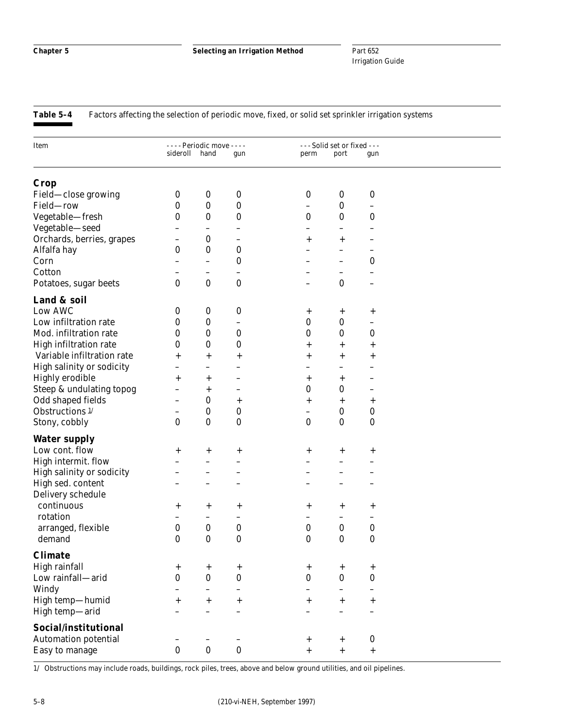**Table 5–4** Factors affecting the selection of periodic move, fixed, or solid set sprinkler irrigation systems

| Item                        |                          | - - - - Periodic move - - - - |                          |                          | - - - Solid set or fixed - - - |                          |  |
|-----------------------------|--------------------------|-------------------------------|--------------------------|--------------------------|--------------------------------|--------------------------|--|
|                             | sideroll hand            |                               | gun                      | perm                     | port                           | gun                      |  |
|                             |                          |                               |                          |                          |                                |                          |  |
| Crop                        |                          |                               |                          |                          |                                |                          |  |
| Field-close growing         | $\boldsymbol{0}$         | $\boldsymbol{0}$              | $\boldsymbol{0}$         | $\pmb{0}$                | $\boldsymbol{0}$               | $\boldsymbol{0}$         |  |
| Field-row                   | 0                        | $\bf{0}$                      | $\boldsymbol{0}$         | $\overline{\phantom{0}}$ | $\bf{0}$                       | $\overline{\phantom{0}}$ |  |
| Vegetable-fresh             | 0                        | $\bf{0}$                      | 0                        | 0                        | $\bf{0}$                       | 0                        |  |
| Vegetable-seed              | -                        | -                             |                          | -                        | $\qquad \qquad -$              |                          |  |
| Orchards, berries, grapes   |                          | 0                             | $\overline{\phantom{0}}$ | $^+$                     | $\overline{+}$                 |                          |  |
| Alfalfa hay                 | 0                        | $\bf{0}$                      | $\boldsymbol{0}$         |                          | $\overline{\phantom{0}}$       |                          |  |
| Corn                        | $\overline{\phantom{0}}$ | $\overline{\phantom{0}}$      | $\boldsymbol{0}$         |                          | $\qquad \qquad -$              | 0                        |  |
| Cotton                      |                          | $\qquad \qquad -$             | $\overline{\phantom{0}}$ |                          | $\overline{\phantom{0}}$       |                          |  |
| Potatoes, sugar beets       | $\bf{0}$                 | $\bf{0}$                      | $\bf{0}$                 |                          | $\bf{0}$                       |                          |  |
| Land & soil                 |                          |                               |                          |                          |                                |                          |  |
| Low AWC                     | 0                        | 0                             | $\boldsymbol{0}$         |                          |                                |                          |  |
| Low infiltration rate       | 0                        | $\bf{0}$                      |                          | $\mathrm{+}$<br>$\bf{0}$ | $^{+}$<br>$\bf{0}$             | $^{+}$                   |  |
| Mod. infiltration rate      | 0                        | $\bf{0}$                      | $\overline{\phantom{0}}$ |                          | $\bf{0}$                       | $\qquad \qquad -$        |  |
|                             |                          |                               | $\boldsymbol{0}$         | 0                        |                                | 0                        |  |
| High infiltration rate      | 0                        | $\bf{0}$                      | 0                        | $\,{}^+$                 | $\overline{+}$                 | $\,{}^+$                 |  |
| Variable infiltration rate  | $\overline{+}$           | $\overline{+}$                | $\,{}^+$                 | $\,{}^+$                 | $\overline{+}$                 | $\overline{+}$           |  |
| High salinity or sodicity   | $\qquad \qquad -$        | $\overline{\phantom{0}}$      | $\overline{\phantom{0}}$ | -                        | $\overline{\phantom{0}}$       |                          |  |
| <b>Highly erodible</b>      | $\overline{+}$           | $\,{}^+$                      |                          | $\,^+$                   | $\,^+$                         |                          |  |
| Steep & undulating topog    | -                        | $\,{}^+$                      | -                        | $\bf{0}$                 | $\bf{0}$                       |                          |  |
| Odd shaped fields           | $\qquad \qquad -$        | $\bf{0}$                      | $^{+}$                   | $^{+}$                   | $^{+}$                         | $\,^+$                   |  |
| Obstructions <sup>1/</sup>  | -                        | 0                             | $\boldsymbol{0}$         |                          | $\bf{0}$                       | $\boldsymbol{0}$         |  |
| Stony, cobbly               | $\bf{0}$                 | $\bf{0}$                      | $\bf{0}$                 | $\bf{0}$                 | $\bf{0}$                       | $\boldsymbol{0}$         |  |
| <b>Water supply</b>         |                          |                               |                          |                          |                                |                          |  |
| Low cont. flow              | $^{+}$                   | $\,^+$                        | $\,^+$                   | $^{+}$                   | $^{+}$                         | $^{+}$                   |  |
| High intermit. flow         |                          | $\overline{\phantom{0}}$      |                          |                          | $\overline{a}$                 |                          |  |
| High salinity or sodicity   |                          |                               |                          |                          |                                |                          |  |
| High sed. content           |                          |                               |                          |                          |                                |                          |  |
| Delivery schedule           |                          |                               |                          |                          |                                |                          |  |
| continuous                  | $^{+}$                   | $\,^+$                        | $^{+}$                   | $^{+}$                   | $^{+}$                         | $^{+}$                   |  |
| rotation                    | $\overline{\phantom{0}}$ | -                             | -                        |                          | $\qquad \qquad -$              |                          |  |
| arranged, flexible          | $\boldsymbol{0}$         | $\bf{0}$                      | $\boldsymbol{0}$         | $\boldsymbol{0}$         | $\bf{0}$                       | $\boldsymbol{0}$         |  |
| demand                      | 0                        | $\boldsymbol{0}$              | $\bf{0}$                 | $\bf{0}$                 | $\bf{0}$                       | $\bf{0}$                 |  |
| <b>Climate</b>              |                          |                               |                          |                          |                                |                          |  |
| High rainfall               |                          |                               | $\ddot{}$                |                          |                                | $\qquad \qquad +$        |  |
| Low rainfall-arid           | $^{+}$<br>$\bf{0}$       | $\,^+$<br>$\bf{0}$            | $\bf{0}$                 | $^{+}$<br>$\bf{0}$       | $^{+}$<br>$\bf{0}$             | $\pmb{0}$                |  |
| Windy                       | $\equiv$                 | $\overline{\phantom{0}}$      | $\overline{\phantom{0}}$ | $\equiv$                 | $\qquad \qquad -$              |                          |  |
| High temp-humid             |                          |                               |                          |                          |                                |                          |  |
|                             | $\ddot{}$                | $^{+}$                        | $\ddot{}$                | $^{+}$                   | $+$                            | $\overline{+}$           |  |
| High temp-arid              |                          | $\overline{\phantom{0}}$      |                          |                          | $\overline{\phantom{0}}$       |                          |  |
| Social/institutional        |                          |                               |                          |                          |                                |                          |  |
| <b>Automation potential</b> |                          |                               |                          | $^{\mathrm{+}}$          | $+$                            | $\pmb{0}$                |  |
| Easy to manage              | $\bf{0}$                 | $\pmb{0}$                     | $\bf{0}$                 | $\qquad \qquad +$        | $\qquad \qquad +$              | $+$                      |  |

1/ Obstructions may include roads, buildings, rock piles, trees, above and below ground utilities, and oil pipelines.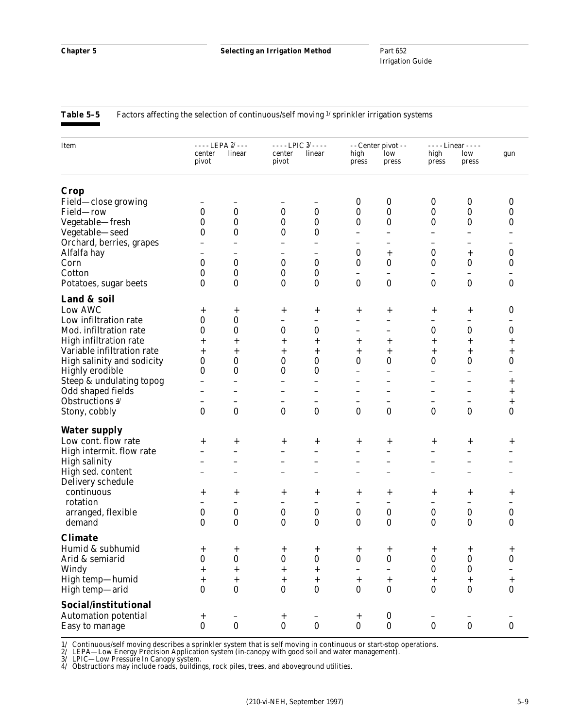| Table 5–5 | Factors affecting the selection of continuous/self moving <sup>1/</sup> sprinkler irrigation systems |  |  |  |
|-----------|------------------------------------------------------------------------------------------------------|--|--|--|
|-----------|------------------------------------------------------------------------------------------------------|--|--|--|

| Item                          |                | $- - -$ LEPA $2/ - -$  |                             | $\cdots$ LPIC $3/$ $\cdots$ |                          | - - Center pivot - -       |                  | $---$ Linear - - - -     |                            |
|-------------------------------|----------------|------------------------|-----------------------------|-----------------------------|--------------------------|----------------------------|------------------|--------------------------|----------------------------|
|                               | center         | linear                 | center                      | linear                      | high                     | low                        | high             | low                      | gun                        |
|                               | pivot          |                        | pivot                       |                             | press                    | press                      | press            | press                    |                            |
| Crop                          |                |                        |                             |                             |                          |                            |                  |                          |                            |
| Field-close growing           |                |                        |                             |                             | 0                        | $\boldsymbol{0}$           | $\boldsymbol{0}$ | 0                        | $\boldsymbol{0}$           |
| Field-row                     | 0              | 0                      | $\bf{0}$                    | $\bf{0}$                    | 0                        | 0                          | $\bf{0}$         | 0                        | 0                          |
| Vegetable-fresh               | 0              | 0                      | $\boldsymbol{0}$            | 0                           | 0                        | $\bf{0}$                   | 0                | $\boldsymbol{0}$         | 0                          |
| Vegetable-seed                | 0              | $\bf{0}$               | $\boldsymbol{0}$            | $\bf{0}$                    |                          | $\overline{\phantom{0}}$   |                  |                          |                            |
| Orchard, berries, grapes      |                |                        | $\overline{\phantom{0}}$    |                             | -                        |                            | -                | —                        |                            |
| Alfalfa hay                   |                |                        |                             | -                           | $\bf{0}$                 | $\,{}^+$                   | $\boldsymbol{0}$ | $\! + \!\!\!\!$          | $\boldsymbol{0}$           |
| Corn                          | 0              | $\bf{0}$               | $\bf{0}$                    | $\bf{0}$                    | $\bf{0}$                 | 0                          | $\bf{0}$         | $\bf{0}$                 | $\pmb{0}$                  |
| Cotton                        | 0              | $\bf{0}$               | 0                           | 0                           |                          |                            | —                | $\qquad \qquad -$        | -                          |
| Potatoes, sugar beets         | 0              | $\bf{0}$               | $\bf{0}$                    | $\bf{0}$                    | $\bf{0}$                 | $\bf{0}$                   | $\bf{0}$         | $\bf{0}$                 | $\bf{0}$                   |
| Land & soil                   |                |                        |                             |                             |                          |                            |                  |                          |                            |
| Low AWC                       | $\mathrm{+}$   | $^{+}$                 | $^{+}$                      | $\mathrm{+}$                | $^{+}$                   | $\mathrm{+}$               | $^+$             | $^{+}$                   | 0                          |
| Low infiltration rate         | 0              | $\bf{0}$               | $\overline{\phantom{0}}$    | $\overline{\phantom{0}}$    | -                        | -                          | -                | $\overline{\phantom{0}}$ |                            |
| Mod. infiltration rate        | 0              | 0                      | $\bf{0}$                    | $\bf{0}$                    |                          | —                          | 0                | $\bf{0}$                 | $\bf{0}$                   |
| <b>High infiltration rate</b> | $\overline{+}$ | $\,{}^+$               | $^{+}$                      | $^{+}$                      | $\overline{+}$           | $\,{}^+$                   | $\overline{+}$   | $^{+}$                   | $\overline{+}$             |
| Variable infiltration rate    | $\,^+$         | $\,^+$                 | $^{+}$                      | $^{+}$                      | $^{+}$                   | $\,^+$                     | $\overline{+}$   | $\ddot{}$                | $^{+}$                     |
| High salinity and sodicity    | 0              | 0                      | 0                           | $\bf{0}$                    | 0                        | $\bf{0}$                   | 0                | 0                        | 0                          |
| <b>Highly erodible</b>        | 0              | $\bf{0}$               | $\bf{0}$                    | $\boldsymbol{0}$            | $\overline{\phantom{0}}$ | $\overline{\phantom{0}}$   | -                | $\overline{\phantom{0}}$ | -                          |
| Steep & undulating topog      |                |                        |                             |                             |                          |                            |                  | $\overline{\phantom{0}}$ | $^+$                       |
| Odd shaped fields             |                |                        |                             | $\overline{\phantom{0}}$    | $\overline{\phantom{0}}$ | -                          | —                | $\overline{\phantom{0}}$ | $\ddot{}$                  |
| Obstructions 4/               |                |                        |                             | $\overline{\phantom{0}}$    | $\qquad \qquad -$        | -                          | -                | $\overline{\phantom{0}}$ | $^{+}$                     |
| Stony, cobbly                 | 0              | $\bf{0}$               | $\bf{0}$                    | $\bf{0}$                    | $\bf{0}$                 | $\bf{0}$                   | $\bf{0}$         | 0                        | $\bf{0}$                   |
| <b>Water supply</b>           |                |                        |                             |                             |                          |                            |                  |                          |                            |
| Low cont. flow rate           | $\,^+$         | $\,^+$                 | $^{+}$                      | $\,^+$                      | $^{+}$                   | $\,^+$                     | $\,^+$           | $^{+}$                   | $\,^+$                     |
| High intermit. flow rate      |                |                        |                             | $\overline{\phantom{0}}$    | —                        |                            |                  | -                        |                            |
| <b>High salinity</b>          |                |                        | $\overline{\phantom{0}}$    | $\overline{\phantom{0}}$    | $\overline{\phantom{0}}$ |                            | -                | -                        |                            |
| High sed. content             |                |                        |                             |                             |                          |                            |                  | $\overline{\phantom{0}}$ | $\overline{\phantom{0}}$   |
| Delivery schedule             |                |                        |                             |                             |                          |                            |                  |                          |                            |
| continuous                    | $^+$           | $^{+}$                 | $^{+}$                      | $\,^+$                      | $^{+}$                   | $\mathrm{+}$               | $^+$             | $^{+}$                   | $^+$                       |
| rotation                      |                |                        | $\overline{\phantom{0}}$    | $\overline{\phantom{0}}$    | $\overline{\phantom{0}}$ | $\overline{\phantom{0}}$   |                  | $\overline{\phantom{0}}$ |                            |
| arranged, flexible            | 0              | 0                      | $\bf{0}$                    | $\bf{0}$                    | 0                        | $\bf{0}$                   | $\boldsymbol{0}$ | 0                        | $\bf{0}$                   |
| demand                        | 0              | $\bf{0}$               | $\bf{0}$                    | $\bf{0}$                    | $\bf{0}$                 | $\bf{0}$                   | $\bf{0}$         | $\bf{0}$                 | 0                          |
| <b>Climate</b>                |                |                        |                             |                             |                          |                            |                  |                          |                            |
| Humid & subhumid              |                |                        |                             |                             |                          |                            |                  |                          |                            |
| Arid & semiarid               | $^+$<br>0      | +<br>0                 | $^+$<br>$\bf{0}$            | $\mathrm{+}$<br>0           | $^+$<br>$\bf{0}$         | $^+$<br>0                  | +<br>0           | $^+$<br>$\boldsymbol{0}$ | +<br>0                     |
| Windy                         | $\ddot{}$      |                        |                             | $^{+}$                      | -                        |                            | 0                | $\bf{0}$                 |                            |
| High temp-humid               | $\ddot{}$      | $\ddot{}$<br>$\! + \!$ | $^{+}$<br>$\qquad \qquad +$ | $\qquad \qquad +$           | $\qquad \qquad +$        |                            | $+$              | $\boldsymbol{+}$         |                            |
| High temp-arid                | 0              | $\bf{0}$               | $\bf{0}$                    | $\bf{0}$                    | $\bf{0}$                 | $\overline{+}$<br>$\bf{0}$ | 0                | $\bf{0}$                 | $\overline{+}$<br>$\bf{0}$ |
|                               |                |                        |                             |                             |                          |                            |                  |                          |                            |
| Social/institutional          |                |                        |                             |                             |                          |                            |                  |                          |                            |
| <b>Automation potential</b>   | $^+$           |                        | $^{+}$                      | $\qquad \qquad -$           | $^{+}$                   | $\pmb{0}$                  |                  |                          |                            |
| Easy to manage                | $\bf{0}$       | $\bf{0}$               | $\bf{0}$                    | $\bf{0}$                    | $\bf{0}$                 | $\bf{0}$                   | $\bf{0}$         | $\bf{0}$                 | $\bf{0}$                   |

1/ Continuous/self moving describes a sprinkler system that is self moving in continuous or start-stop operations.

2/ LEPA—Low Energy Precision Application system (in-canopy with good soil and water management).

3/ LPIC—Low Pressure In Canopy system.

4/ Obstructions may include roads, buildings, rock piles, trees, and aboveground utilities.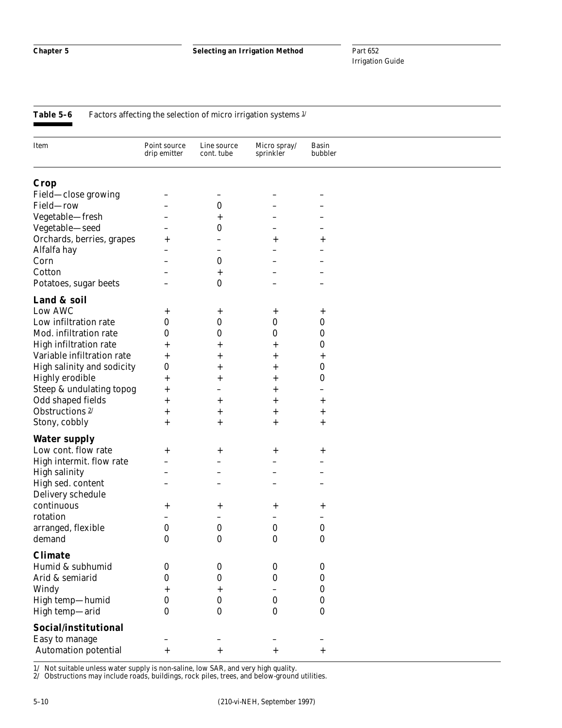**Table 5-6** Factors affecting the selection of micro irrigation systems  $\frac{1}{1}$ 

| Item                       | Point source<br>drip emitter | Line source<br>cont. tube | Micro spray/<br>sprinkler | <b>Basin</b><br>bubbler |  |
|----------------------------|------------------------------|---------------------------|---------------------------|-------------------------|--|
| <b>Crop</b>                |                              |                           |                           |                         |  |
| Field-close growing        |                              |                           |                           |                         |  |
| Field-row                  |                              | $\bf{0}$                  |                           |                         |  |
| Vegetable-fresh            |                              | $\mathrm{+}$              |                           |                         |  |
| Vegetable-seed             |                              | 0                         |                           |                         |  |
| Orchards, berries, grapes  | $\,{}^+$                     |                           | $\mathrm{+}$              | +                       |  |
| Alfalfa hay                |                              |                           |                           |                         |  |
| Corn                       |                              | 0                         |                           |                         |  |
| Cotton                     |                              | $\,^+$                    |                           |                         |  |
| Potatoes, sugar beets      |                              | 0                         |                           |                         |  |
| Land & soil                |                              |                           |                           |                         |  |
| Low AWC                    | $^+$                         | $^+$                      | $^+$                      | $\pm$                   |  |
| Low infiltration rate      | 0                            | 0                         | 0                         | $\bf{0}$                |  |
| Mod. infiltration rate     | $\boldsymbol{0}$             | 0                         | 0                         | $\bf{0}$                |  |
| High infiltration rate     | $\hspace{0.1mm} +$           | +                         | $\,{}^+$                  | 0                       |  |
| Variable infiltration rate | $\overline{+}$               | $^+$                      | $\,{}^+$                  | $\,^+$                  |  |
| High salinity and sodicity | $\boldsymbol{0}$             | $^+$                      | $\hspace{0.1mm} +$        | $\boldsymbol{0}$        |  |
| <b>Highly erodible</b>     | $\overline{+}$               | $^+$                      | $\hspace{0.1mm} +$        | $\bf{0}$                |  |
| Steep & undulating topog   | $\overline{+}$               |                           | $\mathrm{+}$              |                         |  |
| Odd shaped fields          | $\overline{+}$               | $^+$                      | $^{+}$                    | +                       |  |
| Obstructions <sup>2/</sup> | $\overline{+}$               | $^+$                      | $\ddot{}$                 | +                       |  |
| Stony, cobbly              | $^+$                         | $\,^+$                    | $\ddot{}$                 | $^{+}$                  |  |
| <b>Water supply</b>        |                              |                           |                           |                         |  |
| Low cont. flow rate        | $^+$                         | $^+$                      | $\mathrm{+}$              | $\,^+$                  |  |
| High intermit. flow rate   |                              |                           |                           |                         |  |
| <b>High salinity</b>       |                              |                           |                           |                         |  |
| High sed. content          |                              |                           |                           |                         |  |
| Delivery schedule          |                              |                           |                           |                         |  |
| continuous                 | $^+$                         | $^+$                      | $^+$                      | $\,^+$                  |  |
| rotation                   |                              |                           |                           |                         |  |
| arranged, flexible         | $\boldsymbol{0}$             | $\boldsymbol{0}$          | 0                         | $\boldsymbol{0}$        |  |
| demand                     | 0                            | $\boldsymbol{0}$          | 0                         | $\bf{0}$                |  |
| <b>Climate</b>             |                              |                           |                           |                         |  |
| Humid & subhumid           | 0                            | 0                         | 0                         | $\boldsymbol{0}$        |  |
| Arid & semiarid            | 0                            | $\bf{0}$                  | $\boldsymbol{0}$          | $\bf{0}$                |  |
| Windy                      | $\overline{+}$               | +                         |                           | $\bf{0}$                |  |
| High temp-humid            | 0                            | $\bf{0}$                  | $\bf{0}$                  | $\bf{0}$                |  |
| High temp-arid             | $\mathbf{0}$                 | $\boldsymbol{0}$          | $\bf{0}$                  | $\bf{0}$                |  |
| Social/institutional       |                              |                           |                           |                         |  |
|                            |                              |                           |                           |                         |  |
| Easy to manage             |                              |                           |                           |                         |  |
| Automation potential       | $\overline{+}$               | $\overline{+}$            | $^{+}$                    | $\ddot{}$               |  |

1/ Not suitable unless water supply is non-saline, low SAR, and very high quality.

2/ Obstructions may include roads, buildings, rock piles, trees, and below-ground utilities.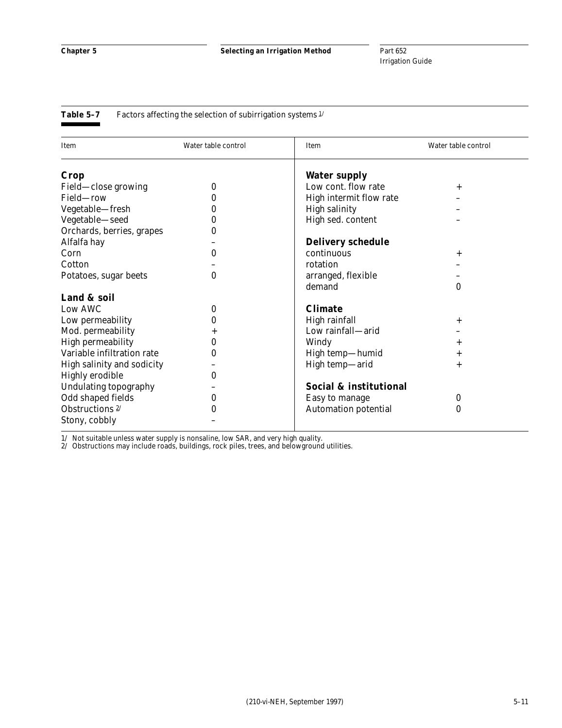#### Table 5-7 Factors affecting the selection of subirrigation systems  $1/$

| Item                       | Water table control | Item                        | Water table control |
|----------------------------|---------------------|-----------------------------|---------------------|
| Crop                       |                     | <b>Water supply</b>         |                     |
| Field-close growing        | 0                   | Low cont. flow rate         | $^{+}$              |
| Field-row                  | 0                   | High intermit flow rate     |                     |
| Vegetable-fresh            | 0                   | <b>High salinity</b>        |                     |
| Vegetable-seed             | 0                   | High sed. content           |                     |
| Orchards, berries, grapes  | 0                   |                             |                     |
| Alfalfa hay                |                     | <b>Delivery schedule</b>    |                     |
| Corn                       | $\bf{0}$            | continuous                  | $^{+}$              |
| Cotton                     |                     | rotation                    |                     |
| Potatoes, sugar beets      | $\bf{0}$            | arranged, flexible          |                     |
|                            |                     | demand                      | $\bf{0}$            |
| Land & soil                |                     |                             |                     |
| Low AWC                    | $\boldsymbol{0}$    | <b>Climate</b>              |                     |
| Low permeability           | 0                   | High rainfall               | $^{+}$              |
| Mod. permeability          | $^+$                | Low rainfall-arid           |                     |
| <b>High permeability</b>   | 0                   | Windy                       | $\,{}^+$            |
| Variable infiltration rate | $\boldsymbol{0}$    | High temp-humid             | $\,{}^+$            |
| High salinity and sodicity |                     | High temp-arid              | $\overline{+}$      |
| <b>Highly erodible</b>     | $\bf{0}$            |                             |                     |
| Undulating topography      |                     | Social & institutional      |                     |
| Odd shaped fields          | 0                   | Easy to manage              | $\bf{0}$            |
| Obstructions $2/$          | 0                   | <b>Automation potential</b> | 0                   |
| Stony, cobbly              |                     |                             |                     |

1/ Not suitable unless water supply is nonsaline, low SAR, and very high quality.

2/ Obstructions may include roads, buildings, rock piles, trees, and belowground utilities.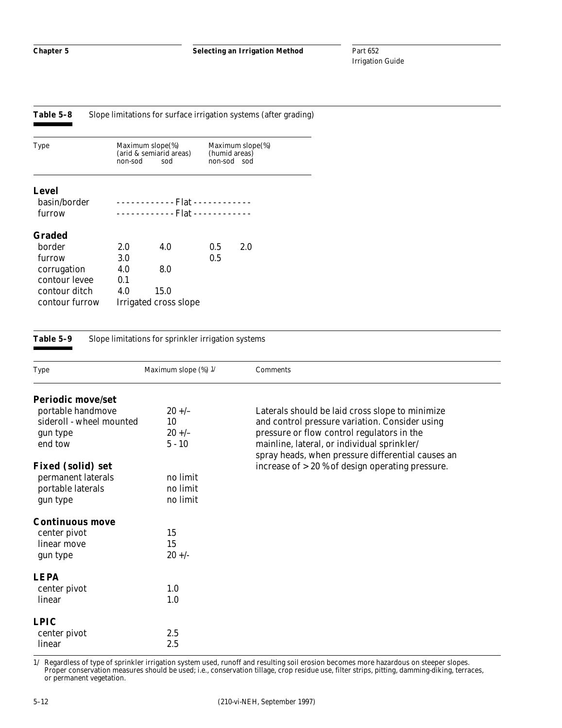| Table 5–8 |  | Slope limitations for surface irrigation systems (after grading) |  |
|-----------|--|------------------------------------------------------------------|--|
|-----------|--|------------------------------------------------------------------|--|

| <b>Type</b>    | non-sod | Maximum slope(%)<br>(arid & semiarid areas)<br>sod |     | Maximum slope(%)<br>(humid areas)<br>non-sod sod |
|----------------|---------|----------------------------------------------------|-----|--------------------------------------------------|
| Level          |         |                                                    |     |                                                  |
| basin/border   |         | ------------ Flat ------------                     |     |                                                  |
| furrow         |         | . Flat                                             |     |                                                  |
| Graded         |         |                                                    |     |                                                  |
| border         | 2.0     | 4.0                                                | 0.5 | 2.0                                              |
| furrow         | 3.0     |                                                    | 0.5 |                                                  |
| corrugation    | 4.0     | 8.0                                                |     |                                                  |
| contour levee  | 0.1     |                                                    |     |                                                  |
| contour ditch  | 4.0     | 15.0                                               |     |                                                  |
| contour furrow |         | Irrigated cross slope                              |     |                                                  |

#### **Table 5–9** Slope limitations for sprinkler irrigation systems

| <b>Type</b>              | Maximum slope (%) 1/ | Comments                                           |
|--------------------------|----------------------|----------------------------------------------------|
| <b>Periodic move/set</b> |                      |                                                    |
| portable handmove        | $20 +/-$             | Laterals should be laid cross slope to minimize    |
| sideroll - wheel mounted | 10                   | and control pressure variation. Consider using     |
| gun type                 | $20 +/-$             | pressure or flow control regulators in the         |
| end tow                  | $5 - 10$             | mainline, lateral, or individual sprinkler/        |
|                          |                      | spray heads, when pressure differential causes an  |
| <b>Fixed (solid) set</b> |                      | increase of $>$ 20 % of design operating pressure. |
| permanent laterals       | no limit             |                                                    |
| portable laterals        | no limit             |                                                    |
| gun type                 | no limit             |                                                    |
| <b>Continuous move</b>   |                      |                                                    |
| center pivot             | 15                   |                                                    |
| linear move              | 15                   |                                                    |
| gun type                 | $20 +/-$             |                                                    |
| <b>LEPA</b>              |                      |                                                    |
| center pivot             | 1.0                  |                                                    |
| linear                   | 1.0                  |                                                    |
| <b>LPIC</b>              |                      |                                                    |
| center pivot             | 2.5                  |                                                    |
| linear                   | 2.5                  |                                                    |

1/ Regardless of type of sprinkler irrigation system used, runoff and resulting soil erosion becomes more hazardous on steeper slopes. Proper conservation measures should be used; i.e., conservation tillage, crop residue use, filter strips, pitting, damming-diking, terraces, or permanent vegetation.